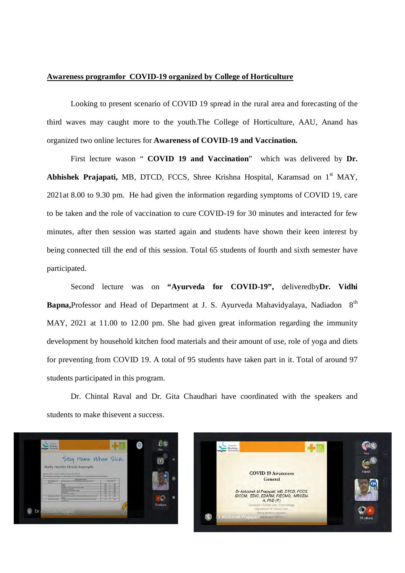## **Awareness programfor COVID-19 organized by College of Horticulture**

Looking to present scenario of COVID 19 spread in the rural area and forecasting of the third waves may caught more to the youth.The College of Horticulture, AAU, Anand has organized two online lectures for **Awareness of COVID-19 and Vaccination.** 

First lecture wason " **COVID 19 and Vaccination**" which was delivered by **Dr.**  Abhishek Prajapati, MB, DTCD, FCCS, Shree Krishna Hospital, Karamsad on 1<sup>st</sup> MAY, 2021at 8.00 to 9.30 pm. He had given the information regarding symptoms of COVID 19, care to be taken and the role of vaccination to cure COVID-19 for 30 minutes and interacted for few minutes, after then session was started again and students have shown their keen interest by being connected till the end of this session. Total 65 students of fourth and sixth semester have participated.

Second lecture was on **"Ayurveda for COVID-19",** deliveredby**Dr. Vidhi**  Bapna, Professor and Head of Department at J. S. Ayurveda Mahavidyalaya, Nadiadon 8<sup>th</sup> MAY, 2021 at 11.00 to 12.00 pm. She had given great information regarding the immunity development by household kitchen food materials and their amount of use, role of yoga and diets for preventing from COVID 19. A total of 95 students have taken part in it. Total of around 97 students participated in this program.

Dr. Chintal Raval and Dr. Gita Chaudhari have coordinated with the speakers and students to make thisevent a success.